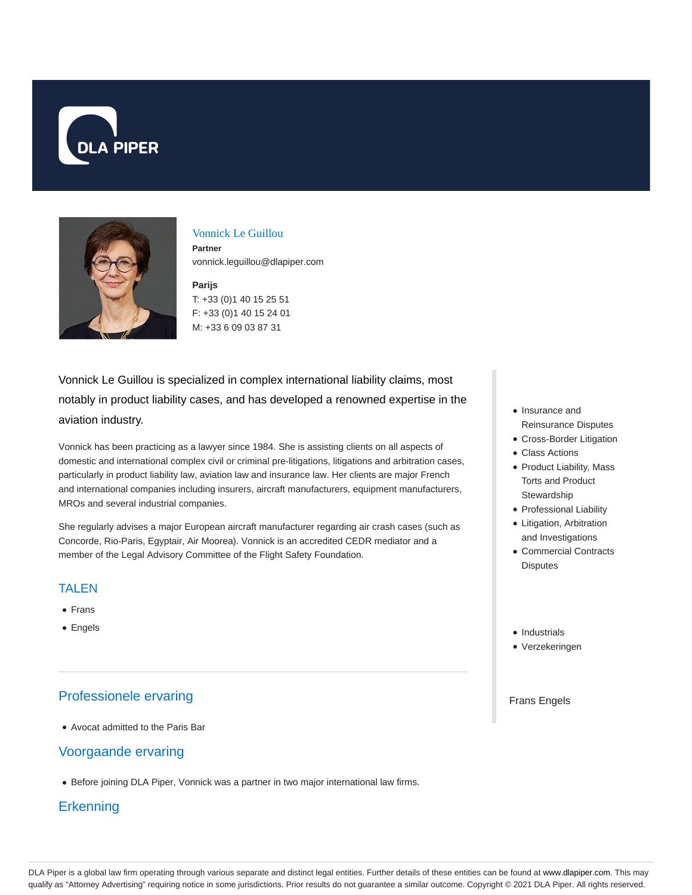



#### Vonnick Le Guillou

**Partner** vonnick.leguillou@dlapiper.com

## **Parijs**

T: +33 (0)1 40 15 25 51 F: +33 (0)1 40 15 24 01 M: +33 6 09 03 87 31

Vonnick Le Guillou is specialized in complex international liability claims, most notably in product liability cases, and has developed a renowned expertise in the aviation industry.

Vonnick has been practicing as a lawyer since 1984. She is assisting clients on all aspects of domestic and international complex civil or criminal pre-litigations, litigations and arbitration cases, particularly in product liability law, aviation law and insurance law. Her clients are major French and international companies including insurers, aircraft manufacturers, equipment manufacturers, MROs and several industrial companies.

She regularly advises a major European aircraft manufacturer regarding air crash cases (such as Concorde, Rio-Paris, Egyptair, Air Moorea). Vonnick is an accredited CEDR mediator and a member of the Legal Advisory Committee of the Flight Safety Foundation.

## TALEN

- Frans
- Engels

# Professionele ervaring

Avocat admitted to the Paris Bar

# Voorgaande ervaring

• Before joining DLA Piper, Vonnick was a partner in two major international law firms.

## **Erkenning**

- Insurance and Reinsurance Disputes
- Cross-Border Litigation
- Class Actions
- Product Liability, Mass Torts and Product **Stewardship**
- Professional Liability
- Litigation, Arbitration and Investigations
- Commercial Contracts Disputes
- Industrials
- Verzekeringen

#### Frans Engels

DLA Piper is a global law firm operating through various separate and distinct legal entities. Further details of these entities can be found at www.dlapiper.com. This may qualify as "Attorney Advertising" requiring notice in some jurisdictions. Prior results do not guarantee a similar outcome. Copyright @ 2021 DLA Piper. All rights reserved.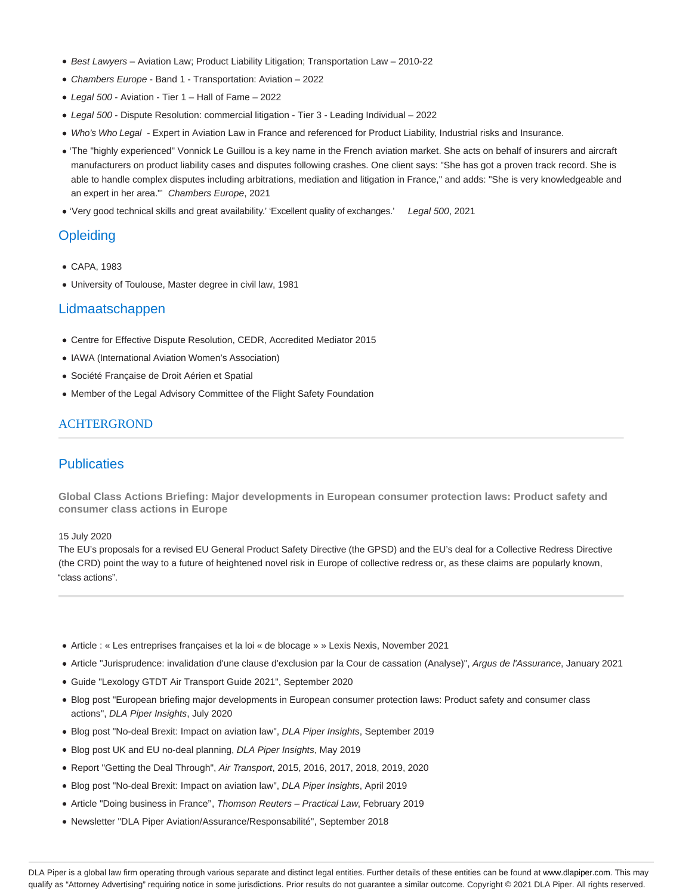- Best Lawyers Aviation Law; Product Liability Litigation; Transportation Law 2010-22
- Chambers Europe Band 1 Transportation: Aviation 2022
- Legal 500 Aviation Tier 1 Hall of Fame 2022
- Legal 500 Dispute Resolution: commercial litigation Tier 3 Leading Individual 2022
- Who's Who Legal Expert in Aviation Law in France and referenced for Product Liability, Industrial risks and Insurance.
- 'The "highly experienced" Vonnick Le Guillou is a key name in the French aviation market. She acts on behalf of insurers and aircraft manufacturers on product liability cases and disputes following crashes. One client says: "She has got a proven track record. She is able to handle complex disputes including arbitrations, mediation and litigation in France," and adds: "She is very knowledgeable and an expert in her area."' Chambers Europe, 2021
- 'Very good technical skills and great availability.' 'Excellent quality of exchanges.' Legal 500, 2021

## **Opleiding**

- CAPA, 1983
- University of Toulouse, Master degree in civil law, 1981

#### Lidmaatschappen

- Centre for Effective Dispute Resolution, CEDR, Accredited Mediator 2015
- IAWA (International Aviation Women's Association)
- Société Française de Droit Aérien et Spatial
- Member of the Legal Advisory Committee of the Flight Safety Foundation

## ACHTERGROND

## **Publicaties**

**Global Class Actions Briefing: Major developments in European consumer protection laws: Product safety and consumer class actions in Europe**

#### 15 July 2020

The EU's proposals for a revised EU General Product Safety Directive (the GPSD) and the EU's deal for a Collective Redress Directive (the CRD) point the way to a future of heightened novel risk in Europe of collective redress or, as these claims are popularly known, "class actions".

- Article : « Les entreprises françaises et la loi « de blocage » » Lexis Nexis, November 2021
- Article "Jurisprudence: invalidation d'une clause d'exclusion par la Cour de cassation (Analyse)", Argus de l'Assurance, January 2021
- Guide "Lexology GTDT Air Transport Guide 2021", September 2020
- Blog post "European briefing major developments in European consumer protection laws: Product safety and consumer class actions", DLA Piper Insights, July 2020
- Blog post "No-deal Brexit: Impact on aviation law", DLA Piper Insights, September 2019
- Blog post UK and EU no-deal planning, DLA Piper Insights, May 2019
- Report "Getting the Deal Through", Air Transport, 2015, 2016, 2017, 2018, 2019, 2020
- Blog post "No-deal Brexit: Impact on aviation law", DLA Piper Insights, April 2019
- Article "Doing business in France", Thomson Reuters Practical Law, February 2019
- Newsletter "DLA Piper Aviation/Assurance/Responsabilité", September 2018